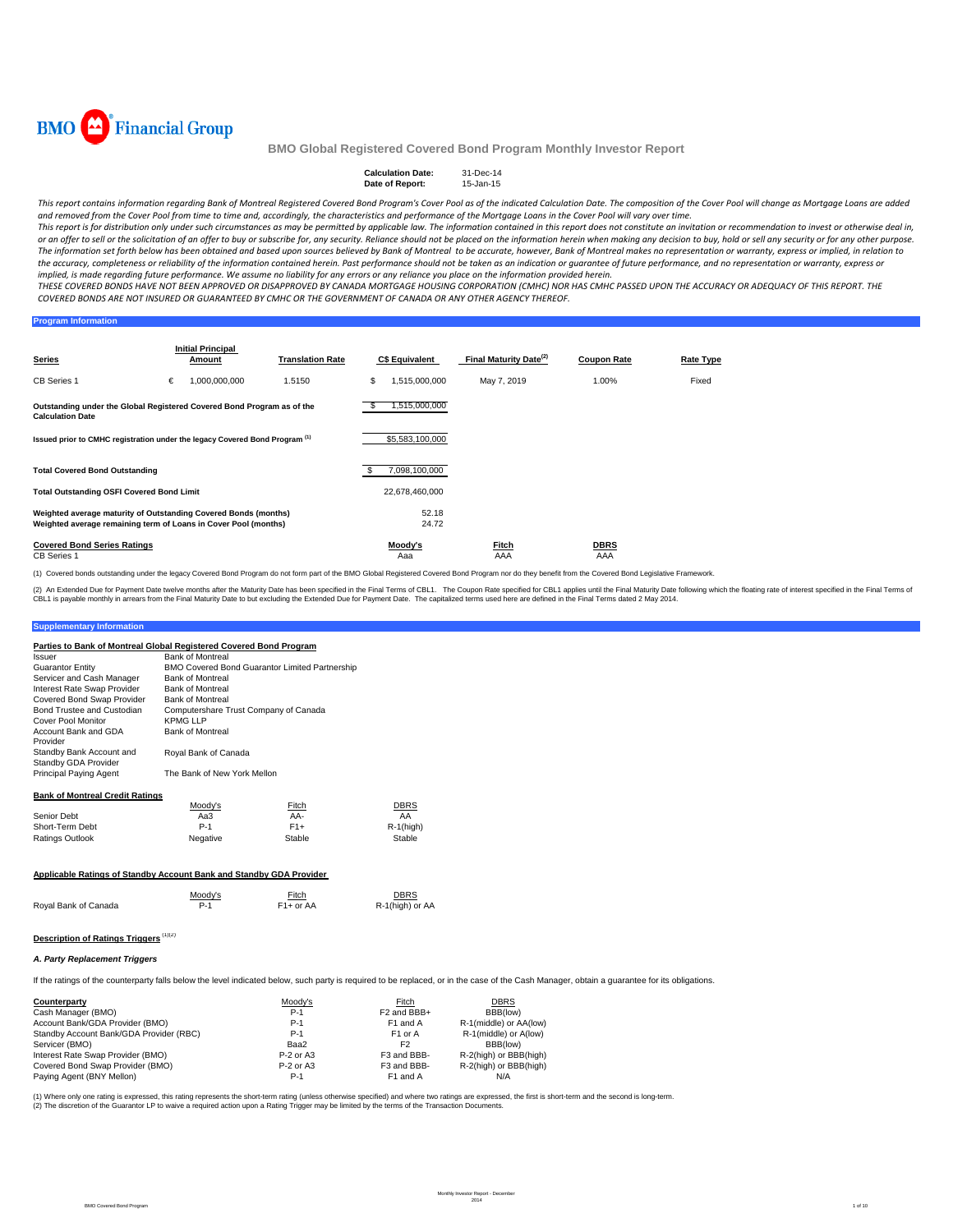

#### **Calculation Date:** 31-Dec-14<br> **Date of Report:** 15-Jan-15 **Date of Report:**

This report contains information regarding Bank of Montreal Registered Covered Bond Program's Cover Pool as of the indicated Calculation Date. The composition of the Cover Pool will change as Mortgage Loans are added and removed from the Cover Pool from time to time and, accordingly, the characteristics and performance of the Mortgage Loans in the Cover Pool will vary over time.

This report is for distribution only under such circumstances as may be permitted by applicable law. The information contained in this report does not constitute an invitation or recommendation to invest or otherwise deal or an offer to sell or the solicitation of an offer to buy or subscribe for, any security. Reliance should not be placed on the information herein when making any decision to buy, hold or sell any security or for any other The information set forth below has been obtained and based upon sources believed by Bank of Montreal to be accurate, however, Bank of Montreal makes no representation or warranty, express or implied, in relation to the accuracy, completeness or reliability of the information contained herein. Past performance should not be taken as an indication or guarantee of future performance, and no representation or warranty, express or implied, is made regarding future performance. We assume no liability for any errors or any reliance you place on the information provided herein.

THESE COVERED BONDS HAVE NOT BEEN APPROVED OR DISAPPROVED BY CANADA MORTGAGE HOUSING CORPORATION (CMHC) NOR HAS CMHC PASSED UPON THE ACCURACY OR ADEQUACY OF THIS REPORT. THE COVERED BONDS ARE NOT INSURED OR GUARANTEED BY CMHC OR THE GOVERNMENT OF CANADA OR ANY OTHER AGENCY THEREOF.

## **Program Information**

| <b>Series</b>                                                                                                                      |   | <b>Initial Principal</b><br>Amount | <b>Translation Rate</b> |    | <b>C\$ Equivalent</b> | Final Maturity Date <sup>(2)</sup> | <b>Coupon Rate</b> | Rate Type |
|------------------------------------------------------------------------------------------------------------------------------------|---|------------------------------------|-------------------------|----|-----------------------|------------------------------------|--------------------|-----------|
| <b>CB Series 1</b>                                                                                                                 | € | 1,000,000,000                      | 1.5150                  | S  | 1,515,000,000         | May 7, 2019                        | 1.00%              | Fixed     |
| Outstanding under the Global Registered Covered Bond Program as of the<br><b>Calculation Date</b>                                  |   |                                    |                         |    | ,515,000,000          |                                    |                    |           |
| Issued prior to CMHC registration under the legacy Covered Bond Program <sup>(1)</sup>                                             |   |                                    |                         |    | \$5,583,100,000       |                                    |                    |           |
| <b>Total Covered Bond Outstanding</b>                                                                                              |   |                                    |                         | \$ | 7,098,100,000         |                                    |                    |           |
| <b>Total Outstanding OSFI Covered Bond Limit</b>                                                                                   |   |                                    |                         |    | 22,678,460,000        |                                    |                    |           |
| Weighted average maturity of Outstanding Covered Bonds (months)<br>Weighted average remaining term of Loans in Cover Pool (months) |   |                                    |                         |    | 52.18<br>24.72        |                                    |                    |           |
| <b>Covered Bond Series Ratings</b><br><b>CB Series 1</b>                                                                           |   |                                    |                         |    | Moody's<br>Aaa        | Fitch<br>AAA                       | <b>DBRS</b><br>AAA |           |

(1) Covered bonds outstanding under the legacy Covered Bond Program do not form part of the BMO Global Registered Covered Bond Program nor do they benefit from the Covered Bond Legislative Framework.

(2) An Extended Due for Payment Date twelve months after the Maturity Date has been specified in the Final Terms of CBL1. The Coupon Rate specified in the fluat has been the specified in the Final Terms of CBL1. The capita

#### **Supplementary Information**

| Parties to Bank of Montreal Global Registered Covered Bond Program |                                       |                                                       |              |
|--------------------------------------------------------------------|---------------------------------------|-------------------------------------------------------|--------------|
| Issuer                                                             | <b>Bank of Montreal</b>               |                                                       |              |
| <b>Guarantor Entity</b>                                            |                                       | <b>BMO Covered Bond Guarantor Limited Partnership</b> |              |
| Servicer and Cash Manager                                          | <b>Bank of Montreal</b>               |                                                       |              |
| Interest Rate Swap Provider                                        | <b>Bank of Montreal</b>               |                                                       |              |
| Covered Bond Swap Provider                                         | <b>Bank of Montreal</b>               |                                                       |              |
| Bond Trustee and Custodian                                         | Computershare Trust Company of Canada |                                                       |              |
| Cover Pool Monitor                                                 | <b>KPMG LLP</b>                       |                                                       |              |
| Account Bank and GDA<br>Provider                                   | <b>Bank of Montreal</b>               |                                                       |              |
| Standby Bank Account and<br>Standby GDA Provider                   | Royal Bank of Canada                  |                                                       |              |
| Principal Paying Agent                                             | The Bank of New York Mellon           |                                                       |              |
| <b>Bank of Montreal Credit Ratings</b>                             |                                       |                                                       |              |
|                                                                    | Moodv's                               | Fitch                                                 | <b>DBRS</b>  |
| Senior Debt                                                        | Aa3                                   | AA-                                                   | AA           |
| Short-Term Debt                                                    | $P-1$                                 | $F1+$                                                 | $R-1$ (high) |
| <b>Ratings Outlook</b>                                             | Negative                              | Stable                                                | Stable       |
|                                                                    |                                       |                                                       |              |

### **Applicable Ratings of Standby Account Bank and Standby GDA Provider**

|                      | Moody's | <b>Fitch</b>           | <b>DBRS</b>     |
|----------------------|---------|------------------------|-----------------|
| Royal Bank of Canada | P-1     | F <sub>1</sub> + or AA | R-1(high) or AA |

## **Description of Ratings Triggers** (1)(2)

### *A. Party Replacement Triggers*

If the ratings of the counterparty falls below the level indicated below, such party is required to be replaced, or in the case of the Cash Manager, obtain a guarantee for its obligations.

| Counterparty                            | Moody's     | Fitch                   | <b>DBRS</b>            |
|-----------------------------------------|-------------|-------------------------|------------------------|
| Cash Manager (BMO)                      | $P-1$       | F <sub>2</sub> and BBB+ | BBB(low)               |
| Account Bank/GDA Provider (BMO)         | $P-1$       | F <sub>1</sub> and A    | R-1(middle) or AA(low) |
| Standby Account Bank/GDA Provider (RBC) | $P-1$       | F <sub>1</sub> or A     | R-1(middle) or A(low)  |
| Servicer (BMO)                          | Baa2        | F <sub>2</sub>          | BBB(low)               |
| Interest Rate Swap Provider (BMO)       | $P-2$ or A3 | F3 and BBB-             | R-2(high) or BBB(high) |
| Covered Bond Swap Provider (BMO)        | $P-2$ or A3 | F3 and BBB-             | R-2(high) or BBB(high) |
| Paving Agent (BNY Mellon)               | P-1         | F <sub>1</sub> and A    | N/A                    |

(1) Where only one rating is expressed, this rating represents the short-term rating (unless otherwise specified) and where two ratings are expressed, the first is short-term and the second is long-term.<br>(2) The discretion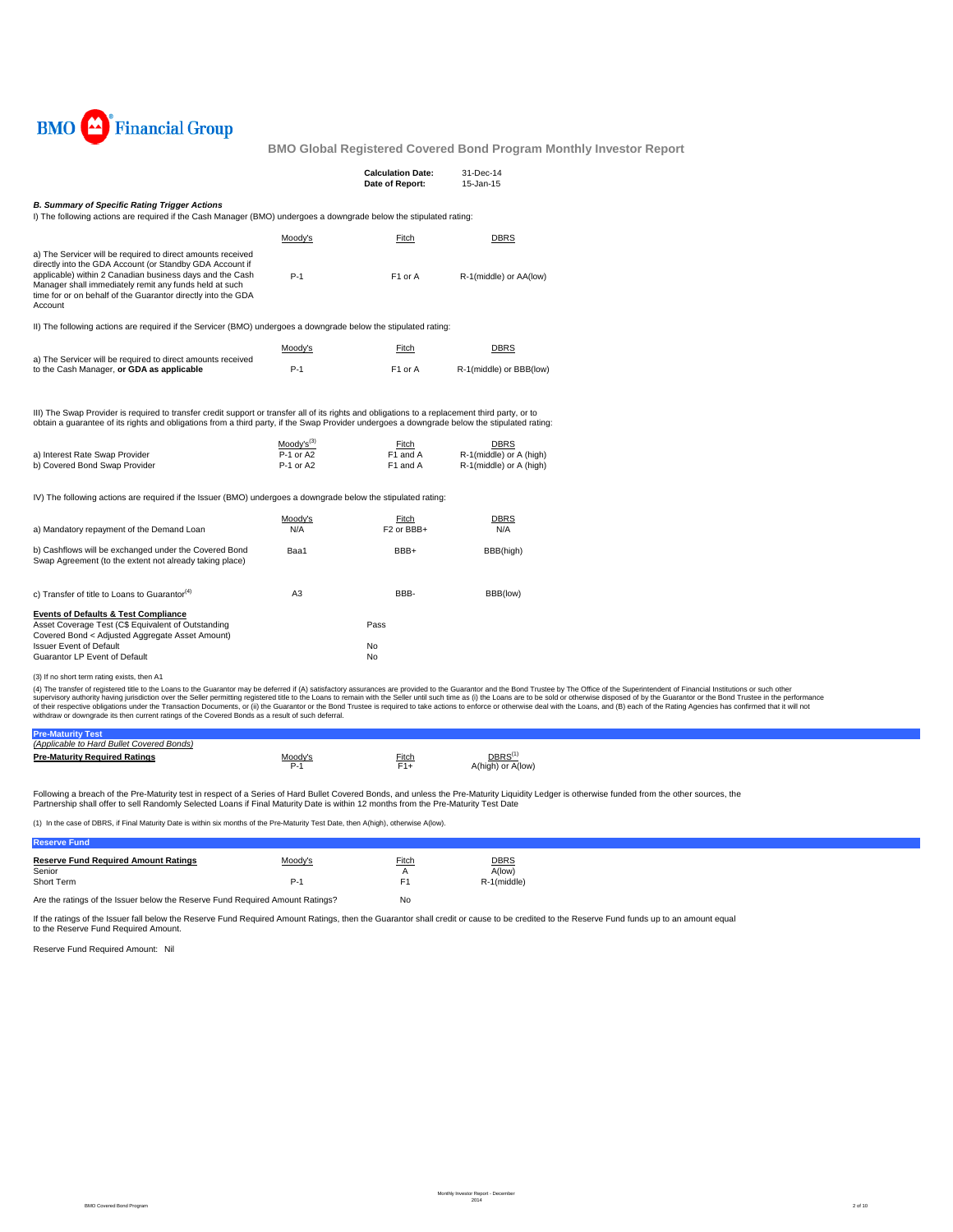

|                                                                                                                                                                                                                                                                                                                                                                    |                                            | <b>Calculation Date:</b><br>Date of Report: | 31-Dec-14<br>15-Jan-15                                            |
|--------------------------------------------------------------------------------------------------------------------------------------------------------------------------------------------------------------------------------------------------------------------------------------------------------------------------------------------------------------------|--------------------------------------------|---------------------------------------------|-------------------------------------------------------------------|
| <b>B. Summary of Specific Rating Trigger Actions</b><br>I) The following actions are required if the Cash Manager (BMO) undergoes a downgrade below the stipulated rating:                                                                                                                                                                                         |                                            |                                             |                                                                   |
|                                                                                                                                                                                                                                                                                                                                                                    | Moody's                                    | Fitch                                       | <b>DBRS</b>                                                       |
| a) The Servicer will be required to direct amounts received<br>directly into the GDA Account (or Standby GDA Account if<br>applicable) within 2 Canadian business days and the Cash<br>Manager shall immediately remit any funds held at such<br>time for or on behalf of the Guarantor directly into the GDA<br>Account                                           | $P-1$                                      | F <sub>1</sub> or A                         | R-1(middle) or AA(low)                                            |
| II) The following actions are required if the Servicer (BMO) undergoes a downgrade below the stipulated rating:                                                                                                                                                                                                                                                    |                                            |                                             |                                                                   |
|                                                                                                                                                                                                                                                                                                                                                                    | Moody's                                    | Fitch                                       | <b>DBRS</b>                                                       |
| a) The Servicer will be required to direct amounts received<br>to the Cash Manager, or GDA as applicable                                                                                                                                                                                                                                                           | $P-1$                                      | F <sub>1</sub> or A                         | R-1(middle) or BBB(low)                                           |
| III) The Swap Provider is required to transfer credit support or transfer all of its rights and obligations to a replacement third party, or to<br>obtain a guarantee of its rights and obligations from a third party, if the Swap Provider undergoes a downgrade below the stipulated rating:<br>a) Interest Rate Swap Provider<br>b) Covered Bond Swap Provider | $Mody's^{(3)}$<br>$P-1$ or A2<br>P-1 or A2 | Fitch<br>F1 and A<br>F1 and A               | <b>DBRS</b><br>R-1(middle) or A (high)<br>R-1(middle) or A (high) |
| IV) The following actions are required if the Issuer (BMO) undergoes a downgrade below the stipulated rating:                                                                                                                                                                                                                                                      |                                            |                                             |                                                                   |
| a) Mandatory repayment of the Demand Loan                                                                                                                                                                                                                                                                                                                          | Moody's<br>N/A                             | Fitch<br>F <sub>2</sub> or BBB+             | <b>DBRS</b><br>N/A                                                |
| b) Cashflows will be exchanged under the Covered Bond<br>Swap Agreement (to the extent not already taking place)                                                                                                                                                                                                                                                   | Baa1                                       | BBB+                                        | BBB(high)                                                         |
| c) Transfer of title to Loans to Guarantor <sup>(4)</sup>                                                                                                                                                                                                                                                                                                          | A <sub>3</sub>                             | BBB-                                        | BBB(low)                                                          |
| <b>Events of Defaults &amp; Test Compliance</b><br>Asset Coverage Test (C\$ Equivalent of Outstanding<br>Covered Bond < Adjusted Aggregate Asset Amount)                                                                                                                                                                                                           |                                            | Pass                                        |                                                                   |
| <b>Issuer Event of Default</b><br>Guarantor LP Event of Default                                                                                                                                                                                                                                                                                                    |                                            | No<br>No                                    |                                                                   |

(3) If no short term rating exists, then A1

(4) The transfer of registered title to the Loans to the Guarantor may be deferred if (A) satisfactory assurances are provided to the Guarantor and the Bond Trustee by The Office of the Superintendent of Financial Institut

| cable to Hard Bullet Covered Bonds)<br>'Ann. |         |       |                   |  |
|----------------------------------------------|---------|-------|-------------------|--|
| <b>Pre-Maturity Required Ratings</b>         | Moody's | Fitch | DBRS <sup>(</sup> |  |
|                                              |         | .     | A(low)<br>A(hıgl  |  |

Following a breach of the Pre-Maturity test in respect of a Series of Hard Bullet Covered Bonds, and unless the Pre-Maturity Liquidity Ledger is otherwise funded from the other sources, the Partnership shall offer to sell Randomly Selected Loans if Final Maturity Date is within 12 months from the Pre-Maturity Test Date

(1) In the case of DBRS, if Final Maturity Date is within six months of the Pre-Maturity Test Date, then A(high), otherwise A(low).

| Fund                                        |         |        |             |
|---------------------------------------------|---------|--------|-------------|
| <b>Reserve Fund Required Amount Ratings</b> | Moody's | Fitch  | <b>DBRS</b> |
| Senior<br>Short Term                        |         |        | A(low)      |
|                                             | P-1     | $\sim$ | R-1(middle) |
|                                             |         |        |             |

Are the ratings of the Issuer below the Reserve Fund Required Amount Ratings? No

If the ratings of the Issuer fall below the Reserve Fund Required Amount Ratings, then the Guarantor shall credit or cause to be credited to the Reserve Fund funds up to an amount equal to the Reserve Fund Required Amount.

Reserve Fund Required Amount: Nil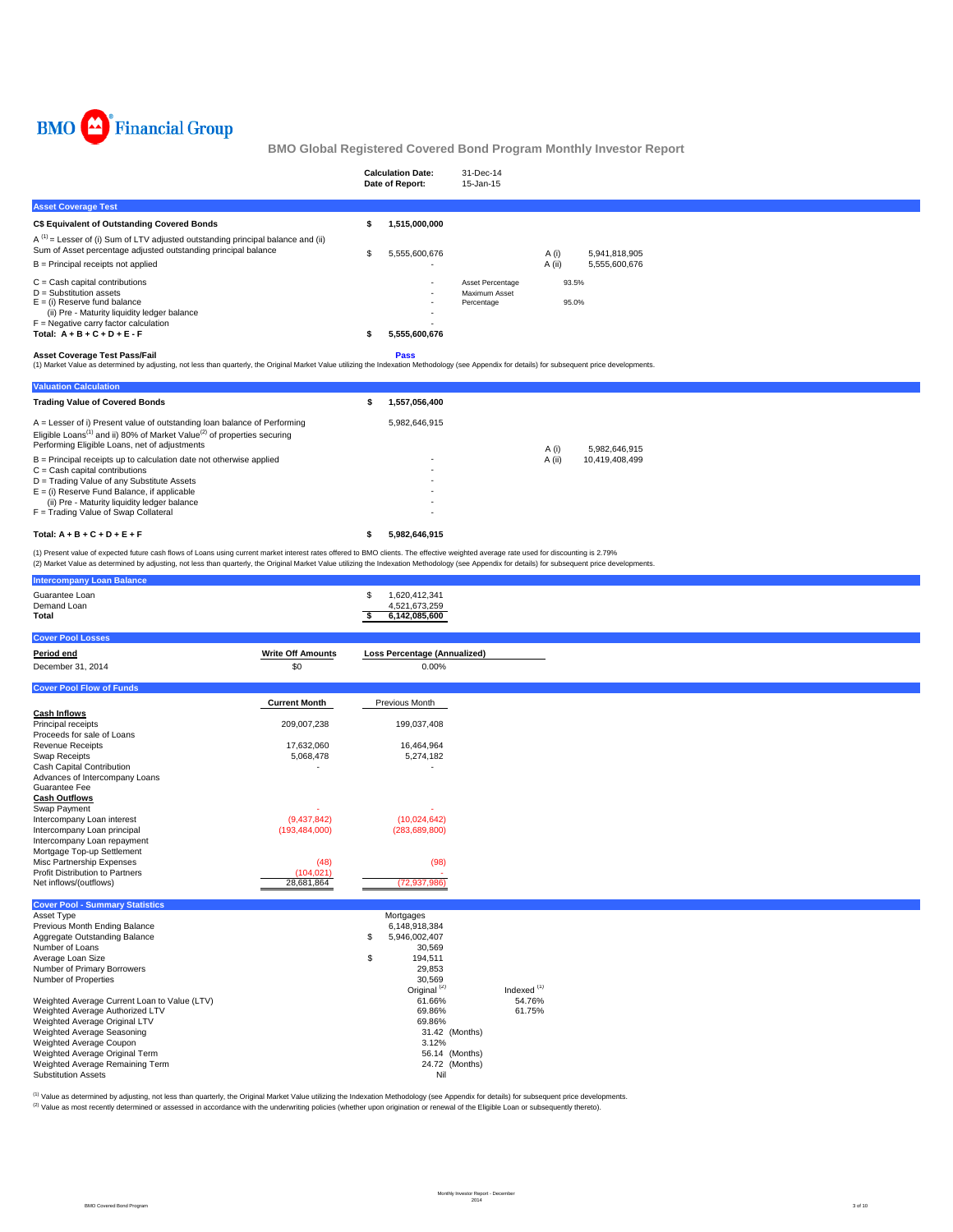

|                                                                                                                                                                                                                                                                                                                                                                                                                                                                            |   | <b>Calculation Date:</b><br>Date of Report: | 31-Dec-14<br>15-Jan-15                          |                         |
|----------------------------------------------------------------------------------------------------------------------------------------------------------------------------------------------------------------------------------------------------------------------------------------------------------------------------------------------------------------------------------------------------------------------------------------------------------------------------|---|---------------------------------------------|-------------------------------------------------|-------------------------|
| <b>Asset Coverage Test</b>                                                                                                                                                                                                                                                                                                                                                                                                                                                 |   |                                             |                                                 |                         |
| C\$ Equivalent of Outstanding Covered Bonds                                                                                                                                                                                                                                                                                                                                                                                                                                |   | 1,515,000,000                               |                                                 |                         |
| $A^{(1)}$ = Lesser of (i) Sum of LTV adjusted outstanding principal balance and (ii)<br>Sum of Asset percentage adjusted outstanding principal balance                                                                                                                                                                                                                                                                                                                     | S | 5,555,600,676                               |                                                 | A (i)<br>5,941,818,905  |
| $B =$ Principal receipts not applied                                                                                                                                                                                                                                                                                                                                                                                                                                       |   |                                             |                                                 | A (ii)<br>5,555,600,676 |
| $C = Cash$ capital contributions<br>$D =$ Substitution assets<br>$E =$ (i) Reserve fund balance<br>(ii) Pre - Maturity liquidity ledger balance<br>$F =$ Negative carry factor calculation<br>Total: $A + B + C + D + E - F$<br><b>Asset Coverage Test Pass/Fail</b><br>(1) Market Value as determined by adjusting, not less than quarterly, the Original Market Value utilizing the Indexation Methodology (see Appendix for details) for subsequent price developments. |   | 5,555,600,676<br><b>Pass</b>                | Asset Percentage<br>Maximum Asset<br>Percentage | 93.5%<br>95.0%          |
| <b>Valuation Calculation</b>                                                                                                                                                                                                                                                                                                                                                                                                                                               |   |                                             |                                                 |                         |
| <b>Trading Value of Covered Bonds</b>                                                                                                                                                                                                                                                                                                                                                                                                                                      |   | 1,557,056,400                               |                                                 |                         |
| $\Delta$ – Lesser of i) Present value of outstanding loan balance of Performing                                                                                                                                                                                                                                                                                                                                                                                            |   | 5982646915                                  |                                                 |                         |

| Total: $A + B + C + D + E + F$                                                                  | 5.982.646.915 |        |                |
|-------------------------------------------------------------------------------------------------|---------------|--------|----------------|
| F = Trading Value of Swap Collateral                                                            |               |        |                |
| (ii) Pre - Maturity liquidity ledger balance                                                    |               |        |                |
| $E =$ (i) Reserve Fund Balance, if applicable                                                   | ٠             |        |                |
| D = Trading Value of any Substitute Assets                                                      |               |        |                |
| $C =$ Cash capital contributions                                                                |               |        |                |
| $B =$ Principal receipts up to calculation date not otherwise applied                           |               | A (ii) | 10.419.408.499 |
| Performing Eligible Loans, net of adjustments                                                   |               | A (i)  | 5.982.646.915  |
| Eligible Loans <sup>(1)</sup> and ii) 80% of Market Value <sup>(2)</sup> of properties securing |               |        |                |
| $A =$ Lesser of i) Present value of outstanding loan balance of Performing                      | 5.982.646.915 |        |                |

(1) Present value of expected future cash flows of Loans using current market interest rates offered to BMO clients. The effective weighted average rate used for discounting is 2.79%<br>(2) Market Value as determined by adjus

| <b>Intercompany Loan Balance</b>                                  |                          |                                      |                                  |
|-------------------------------------------------------------------|--------------------------|--------------------------------------|----------------------------------|
| Guarantee Loan<br>Demand Loan                                     |                          | 1,620,412,341<br>\$<br>4,521,673,259 |                                  |
| Total                                                             |                          | s.<br>6,142,085,600                  |                                  |
| <b>Cover Pool Losses</b>                                          |                          |                                      |                                  |
| Period end                                                        | <b>Write Off Amounts</b> | <b>Loss Percentage (Annualized)</b>  |                                  |
| December 31, 2014                                                 | \$0                      | 0.00%                                |                                  |
| <b>Cover Pool Flow of Funds</b>                                   |                          |                                      |                                  |
|                                                                   | <b>Current Month</b>     | Previous Month                       |                                  |
| <b>Cash Inflows</b><br>Principal receipts                         | 209,007,238              | 199,037,408                          |                                  |
| Proceeds for sale of Loans                                        |                          |                                      |                                  |
| <b>Revenue Receipts</b>                                           | 17,632,060               | 16,464,964                           |                                  |
| Swap Receipts<br>Cash Capital Contribution                        | 5,068,478                | 5,274,182                            |                                  |
| Advances of Intercompany Loans                                    |                          |                                      |                                  |
| Guarantee Fee                                                     |                          |                                      |                                  |
| <b>Cash Outflows</b>                                              |                          |                                      |                                  |
| Swap Payment<br>Intercompany Loan interest                        | (9,437,842)              | (10,024,642)                         |                                  |
| Intercompany Loan principal                                       | (193, 484, 000)          | (283, 689, 800)                      |                                  |
| Intercompany Loan repayment                                       |                          |                                      |                                  |
| Mortgage Top-up Settlement                                        |                          |                                      |                                  |
| Misc Partnership Expenses<br>Profit Distribution to Partners      | (48)<br>(104, 021)       | (98)                                 |                                  |
| Net inflows/(outflows)                                            | 28,681,864               | (72, 937, 986)                       |                                  |
| <b>Cover Pool - Summary Statistics</b>                            |                          |                                      |                                  |
| Asset Type                                                        |                          | Mortgages                            |                                  |
| Previous Month Ending Balance                                     |                          | 6,148,918,384                        |                                  |
| Aggregate Outstanding Balance<br>Number of Loans                  |                          | \$<br>5,946,002,407<br>30,569        |                                  |
| Average Loan Size                                                 |                          | \$<br>194,511                        |                                  |
| Number of Primary Borrowers                                       |                          | 29,853                               |                                  |
| Number of Properties                                              |                          | 30,569                               |                                  |
| Weighted Average Current Loan to Value (LTV)                      |                          | Original <sup>(2)</sup><br>61.66%    | Indexed <sup>(1)</sup><br>54.76% |
| Weighted Average Authorized LTV                                   |                          | 69.86%                               | 61.75%                           |
| Weighted Average Original LTV                                     |                          | 69.86%                               |                                  |
| Weighted Average Seasoning                                        |                          | 31.42 (Months)                       |                                  |
| Weighted Average Coupon                                           |                          | 3.12%                                |                                  |
| Weighted Average Original Term<br>Weighted Average Remaining Term |                          | 56.14 (Months)<br>24.72 (Months)     |                                  |
| Substitution Assets                                               |                          | Nil                                  |                                  |

<sup>(1)</sup> Value as determined by adjusting, not less than quarterly, the Original Market Value utilizing the Indexation Methodology (see Appendix for details) for subsequent price developments.<br><sup>(2)</sup> Value as most recently det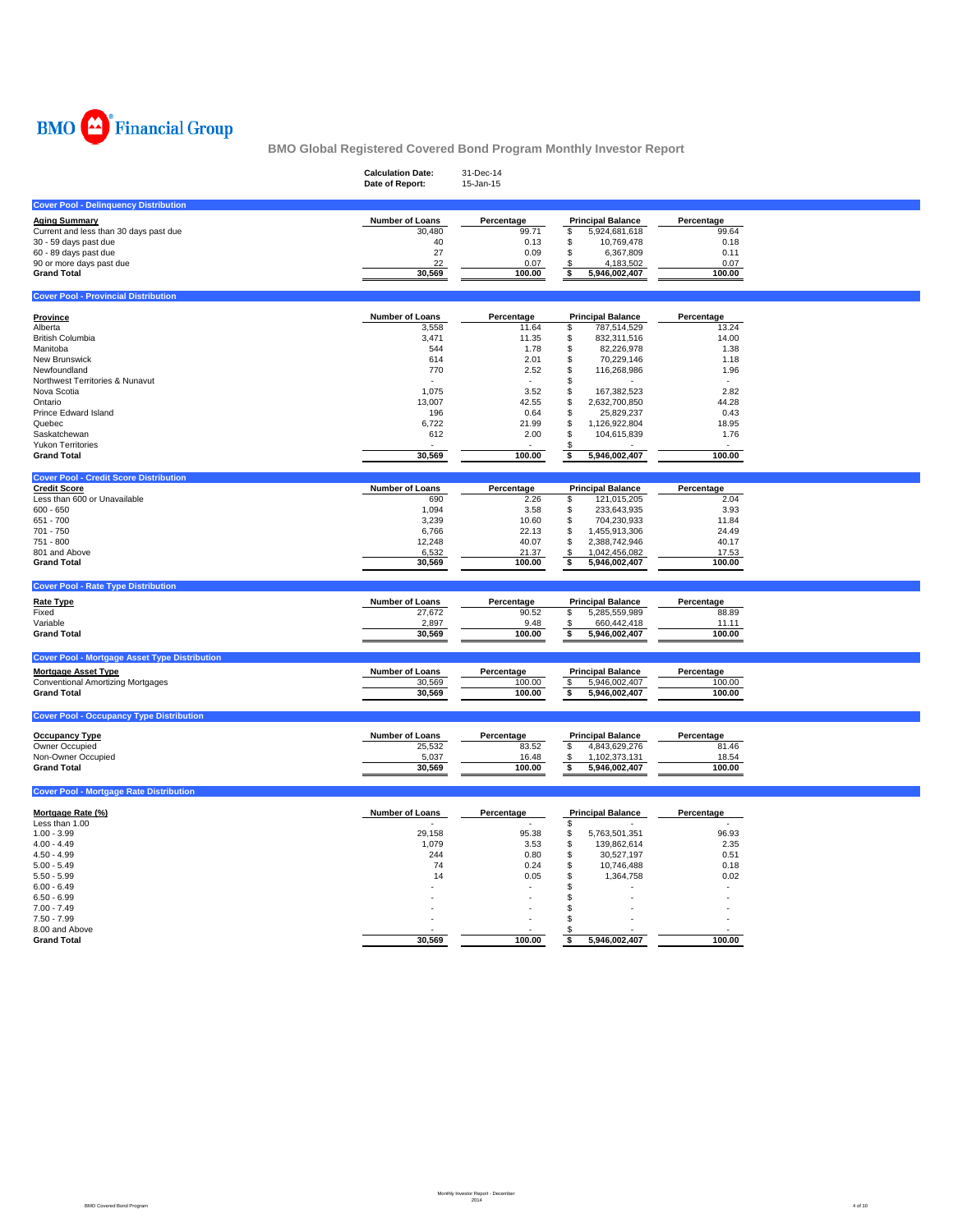

|                                                      | <b>Calculation Date:</b><br>Date of Report: | 31-Dec-14<br>15-Jan-15 |                             |            |  |
|------------------------------------------------------|---------------------------------------------|------------------------|-----------------------------|------------|--|
| <b>Cover Pool - Delinquency Distribution</b>         |                                             |                        |                             |            |  |
| <b>Aging Summary</b>                                 | <b>Number of Loans</b>                      | Percentage             | <b>Principal Balance</b>    | Percentage |  |
| Current and less than 30 days past due               | 30,480                                      | 99.71                  | 5,924,681,618<br>\$         | 99.64      |  |
| 30 - 59 days past due                                | 40                                          | 0.13                   | \$<br>10,769,478            | 0.18       |  |
| 60 - 89 days past due                                | 27                                          | 0.09                   | \$<br>6,367,809             | 0.11       |  |
| 90 or more days past due                             | 22                                          | 0.07                   | 4,183,502<br>\$             | 0.07       |  |
| <b>Grand Total</b>                                   | 30,569                                      | 100.00                 | \$<br>5,946,002,407         | 100.00     |  |
| <b>Cover Pool - Provincial Distribution</b>          |                                             |                        |                             |            |  |
|                                                      |                                             |                        |                             |            |  |
| Province                                             | <b>Number of Loans</b>                      | Percentage             | <b>Principal Balance</b>    | Percentage |  |
| Alberta                                              | 3,558                                       | 11.64                  | \$<br>787,514,529           | 13.24      |  |
| British Columbia                                     | 3,471                                       | 11.35                  | \$<br>832,311,516           | 14.00      |  |
| Manitoba                                             | 544                                         | 1.78                   | \$<br>82,226,978            | 1.38       |  |
| <b>New Brunswick</b>                                 | 614                                         | 2.01                   | \$<br>70,229,146            | 1.18       |  |
| Newfoundland                                         | 770                                         | 2.52                   | \$<br>116,268,986           | 1.96       |  |
| Northwest Territories & Nunavut                      |                                             |                        | S                           |            |  |
| Nova Scotia                                          | 1.075                                       | 3.52                   | 167,382,523<br>\$           | 2.82       |  |
| Ontario                                              | 13,007                                      | 42.55                  | 2,632,700,850<br>S          | 44.28      |  |
| Prince Edward Island                                 | 196                                         | 0.64                   | \$<br>25,829,237            | 0.43       |  |
| Quebec                                               | 6,722                                       | 21.99                  | \$<br>1,126,922,804         | 18.95      |  |
| Saskatchewan                                         | 612                                         | 2.00                   | \$<br>104,615,839           | 1.76       |  |
| <b>Yukon Territories</b>                             |                                             |                        | \$                          |            |  |
| <b>Grand Total</b>                                   | 30,569                                      | 100.00                 | 5,946,002,407<br>\$         | 100.00     |  |
| <b>Cover Pool - Credit Score Distribution</b>        |                                             |                        |                             |            |  |
| <b>Credit Score</b>                                  | Number of Loans                             | Percentage             | <b>Principal Balance</b>    | Percentage |  |
| Less than 600 or Unavailable                         | 690                                         | 2.26                   | \$<br>121,015,205           | 2.04       |  |
| $600 - 650$                                          | 1,094                                       | 3.58                   | \$<br>233,643,935           | 3.93       |  |
| 651 - 700                                            | 3,239                                       | 10.60                  | \$<br>704,230,933           | 11.84      |  |
| 701 - 750                                            | 6,766                                       | 22.13                  | \$<br>1,455,913,306         | 24.49      |  |
| 751 - 800                                            | 12,248                                      | 40.07                  | \$<br>2,388,742,946         | 40.17      |  |
| 801 and Above                                        | 6,532                                       | 21.37                  | 1,042,456,082<br>\$         | 17.53      |  |
| <b>Grand Total</b>                                   | 30,569                                      | 100.00                 | \$<br>5,946,002,407         | 100.00     |  |
|                                                      |                                             |                        |                             |            |  |
| <b>Cover Pool - Rate Type Distribution</b>           |                                             |                        |                             |            |  |
| <b>Rate Type</b>                                     | <b>Number of Loans</b>                      | Percentage             | <b>Principal Balance</b>    | Percentage |  |
| Fixed                                                | 27,672                                      | 90.52                  | \$<br>5,285,559,989         | 88.89      |  |
| Variable                                             | 2,897                                       | 9.48                   | 660,442,418<br>\$           | 11.11      |  |
| <b>Grand Total</b>                                   | 30,569                                      | 100.00                 | \$<br>5,946,002,407         | 100.00     |  |
| <b>Cover Pool - Mortgage Asset Type Distribution</b> |                                             |                        |                             |            |  |
|                                                      |                                             |                        |                             |            |  |
| <u>Mortgage Asset Type</u>                           | <b>Number of Loans</b>                      | Percentage             | <b>Principal Balance</b>    | Percentage |  |
| <b>Conventional Amortizing Mortgages</b>             | 30,569                                      | 100.00                 | 5,946,002,407<br>\$         | 100.00     |  |
| <b>Grand Total</b>                                   | 30,569                                      | 100.00                 | 5,946,002,407<br>\$         | 100.00     |  |
| <b>Cover Pool - Occupancy Type Distribution</b>      |                                             |                        |                             |            |  |
| <b>Occupancy Type</b>                                | <b>Number of Loans</b>                      | Percentage             | <b>Principal Balance</b>    | Percentage |  |
| Owner Occupied                                       | 25,532                                      | 83.52                  | \$<br>4,843,629,276         | 81.46      |  |
| Non-Owner Occupied                                   | 5,037                                       | 16.48                  | 1,102,373,131               | 18.54      |  |
| <b>Grand Total</b>                                   | 30,569                                      | 100.00                 | - \$<br>5,946,002,407<br>\$ | 100.00     |  |
|                                                      |                                             |                        |                             |            |  |
| <b>Cover Pool - Mortgage Rate Distribution</b>       |                                             |                        |                             |            |  |
| Mortgage Rate (%)                                    | <b>Number of Loans</b>                      | Percentage             | <b>Principal Balance</b>    | Percentage |  |
| Less than 1.00                                       |                                             |                        | \$                          |            |  |
| $1.00 - 3.99$                                        | 29,158                                      | 95.38                  | \$<br>5,763,501,351         | 96.93      |  |
| $4.00 - 4.49$                                        | 1,079                                       | 3.53                   | \$<br>139,862,614           | 2.35       |  |
| $4.50 - 4.99$                                        | 244                                         | 0.80                   | \$<br>30,527,197            | 0.51       |  |
| $5.00 - 5.49$                                        | 74                                          | 0.24                   | \$<br>10,746,488            | 0.18       |  |
|                                                      |                                             |                        | \$                          | 0.02       |  |
| $5.50 - 5.99$                                        | 14                                          | 0.05                   | 1,364,758<br>\$             |            |  |
| $6.00 - 6.49$                                        |                                             |                        |                             |            |  |
| $6.50 - 6.99$                                        |                                             |                        | \$                          |            |  |
| $7.00 - 7.49$                                        |                                             |                        | S                           |            |  |
| $7.50 - 7.99$                                        |                                             |                        | S.                          |            |  |
| 8.00 and Above                                       |                                             |                        | Ж,                          |            |  |
| <b>Grand Total</b>                                   | 30.569                                      | 100.00                 | 5,946,002,407<br>\$         | 100.00     |  |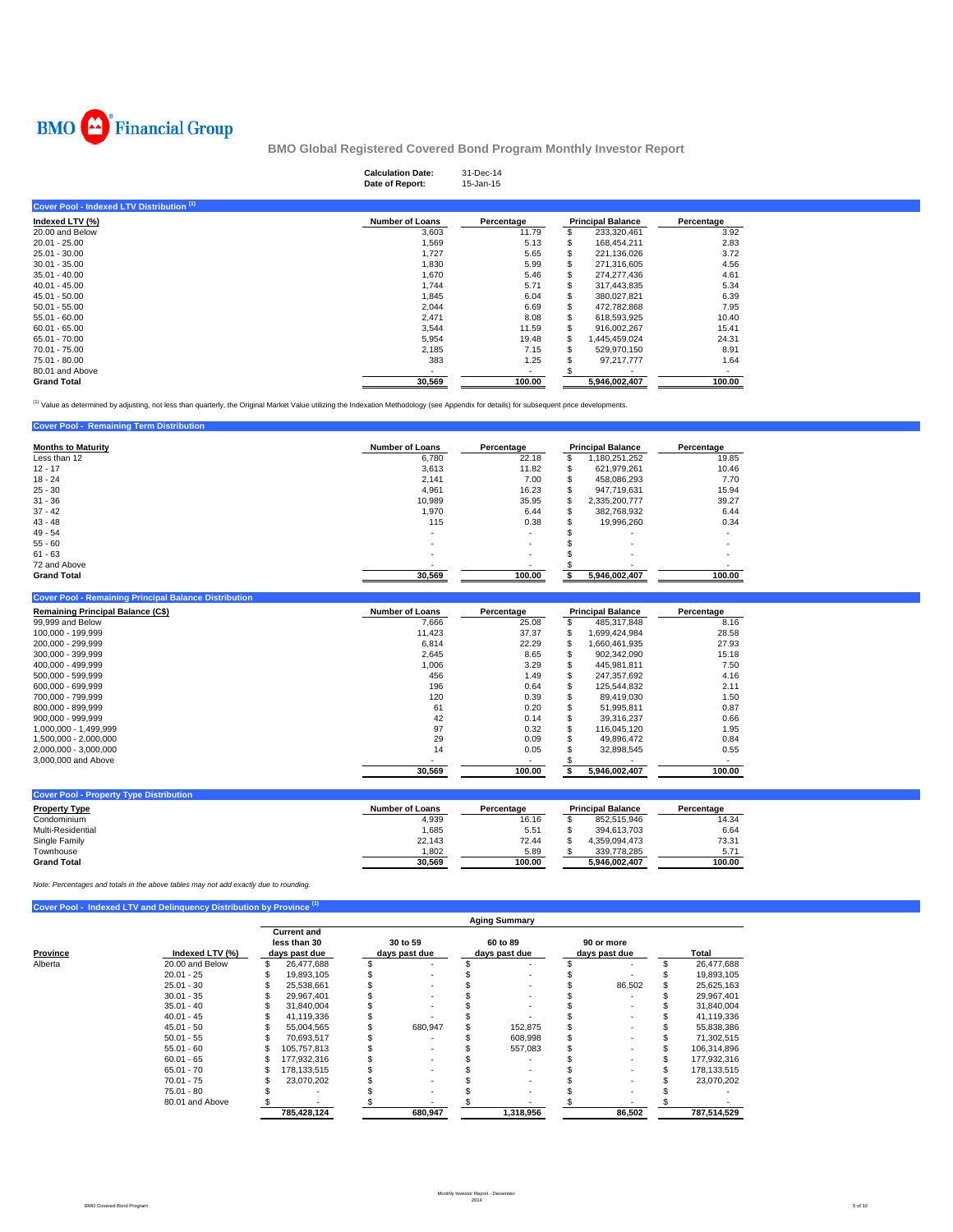

**Cover Pool - Remaining Term Distribution** 

**BMO Global Registered Covered Bond Program Monthly Investor Report**

|                                           | <b>Calculation Date:</b><br>Date of Report: | 31-Dec-14<br>15-Jan-15 |    |                          |            |  |
|-------------------------------------------|---------------------------------------------|------------------------|----|--------------------------|------------|--|
| Cover Pool - Indexed LTV Distribution (1) |                                             |                        |    |                          |            |  |
| Indexed LTV (%)                           | <b>Number of Loans</b>                      | Percentage             |    | <b>Principal Balance</b> | Percentage |  |
| 20,00 and Below                           | 3,603                                       | 11.79                  |    | 233,320,461              | 3.92       |  |
| $20.01 - 25.00$                           | 1,569                                       | 5.13                   |    | 168,454,211              | 2.83       |  |
| 25.01 - 30.00                             | 1,727                                       | 5.65                   | s  | 221,136,026              | 3.72       |  |
| $30.01 - 35.00$                           | 1,830                                       | 5.99                   | S  | 271.316.605              | 4.56       |  |
| $35.01 - 40.00$                           | 1,670                                       | 5.46                   |    | 274,277,436              | 4.61       |  |
| $40.01 - 45.00$                           | 1,744                                       | 5.71                   | ж  | 317,443,835              | 5.34       |  |
| 45.01 - 50.00                             | 1,845                                       | 6.04                   | S  | 380,027,821              | 6.39       |  |
| $50.01 - 55.00$                           | 2,044                                       | 6.69                   | ъ  | 472,782,868              | 7.95       |  |
| $55.01 - 60.00$                           | 2,471                                       | 8.08                   |    | 618,593,925              | 10.40      |  |
| $60.01 - 65.00$                           | 3,544                                       | 11.59                  |    | 916,002,267              | 15.41      |  |
| 65.01 - 70.00                             | 5,954                                       | 19.48                  |    | 1,445,459,024            | 24.31      |  |
| 70.01 - 75.00                             | 2,185                                       | 7.15                   | ж. | 529.970.150              | 8.91       |  |
| 75.01 - 80.00                             | 383                                         | 1.25                   |    | 97,217,777               | 1.64       |  |
| 80.01 and Above                           |                                             | $\sim$                 |    |                          |            |  |
| <b>Grand Total</b>                        | 30,569                                      | 100.00                 |    | 5,946,002,407            | 100.00     |  |

<sup>(1)</sup> Value as determined by adjusting, not less than quarterly, the Original Market Value utilizing the Indexation Methodology (see Appendix for details) for subsequent price developments.

| <b>Months to Maturity</b> | <b>Number of Loans</b> | Percentage               |    | <b>Principal Balance</b> | Percentage |
|---------------------------|------------------------|--------------------------|----|--------------------------|------------|
| Less than 12              | 6.780                  | 22.18                    | æ. | 180,251,252              | 19.85      |
| $12 - 17$                 | 3,613                  | 11.82                    | ъ  | 621,979,261              | 10.46      |
| $18 - 24$                 | 2.141                  | 7.00                     | S  | 458,086,293              | 7.70       |
| $25 - 30$                 | 4.961                  | 16.23                    | æ. | 947.719.631              | 15.94      |
| $31 - 36$                 | 10.989                 | 35.95                    | S  | 2,335,200,777            | 39.27      |
| $37 - 42$                 | 1.970                  | 6.44                     | æ. | 382,768,932              | 6.44       |
| $43 - 48$                 | 115                    | 0.38                     |    | 19,996,260               | 0.34       |
| $49 - 54$                 | ۰.                     | ۰                        |    |                          |            |
| $55 - 60$                 |                        | $\overline{\phantom{a}}$ |    | $\overline{\phantom{a}}$ |            |
| $61 - 63$                 | ۰                      | ۰.                       |    | $\overline{\phantom{a}}$ |            |
| 72 and Above              |                        | ۰                        |    |                          |            |
| <b>Grand Total</b>        | 30.569                 | 100.00                   |    | 5.946.002.407            | 100.00     |

| <b>Cover Pool - Remaining Principal Balance Distribution</b> |                        |                          |    |                          |            |
|--------------------------------------------------------------|------------------------|--------------------------|----|--------------------------|------------|
| <b>Remaining Principal Balance (C\$)</b>                     | <b>Number of Loans</b> | Percentage               |    | <b>Principal Balance</b> | Percentage |
| 99,999 and Below                                             | 7.666                  | 25.08                    |    | 485.317.848              | 8.16       |
| 100.000 - 199.999                                            | 11,423                 | 37.37                    | £. | 1.699.424.984            | 28.58      |
| 200.000 - 299.999                                            | 6.814                  | 22.29                    |    | 1.660.461.935            | 27.93      |
| 300.000 - 399.999                                            | 2,645                  | 8.65                     |    | 902.342.090              | 15.18      |
| 400.000 - 499.999                                            | 1.006                  | 3.29                     |    | 445.981.811              | 7.50       |
| 500.000 - 599.999                                            | 456                    | 1.49                     |    | 247,357,692              | 4.16       |
| 600.000 - 699.999                                            | 196                    | 0.64                     |    | 125.544.832              | 2.11       |
| 700.000 - 799.999                                            | 120                    | 0.39                     |    | 89.419.030               | 1.50       |
| 800.000 - 899.999                                            | 61                     | 0.20                     |    | 51.995.811               | 0.87       |
| 900.000 - 999.999                                            | 42                     | 0.14                     |    | 39.316.237               | 0.66       |
| 1.000.000 - 1.499.999                                        | 97                     | 0.32                     |    | 116.045.120              | 1.95       |
| 1.500.000 - 2.000.000                                        | 29                     | 0.09                     |    | 49.896.472               | 0.84       |
| 2,000,000 - 3,000,000                                        | 14                     | 0.05                     |    | 32,898,545               | 0.55       |
| 3,000,000 and Above                                          |                        | $\overline{\phantom{a}}$ |    |                          |            |
|                                                              | 30.569                 | 100.00                   |    | 5,946,002,407            | 100.00     |

| <b>Cover Pool - Property Type Distribution</b> |                 |            |                          |                  |
|------------------------------------------------|-----------------|------------|--------------------------|------------------|
| <b>Property Type</b>                           | Number of Loans | Percentage | <b>Principal Balance</b> | Percentage       |
| Condominium                                    | 4,939           | 16.16      | 852.515.946              | 14.34            |
| Multi-Residential                              | .685            | 5.51       | 394.613.703              | 6.64             |
| Single Family                                  | 22.143          | 72.44      | 4.359.094.473            | 73.31            |
| Townhouse                                      | ,802            | 5.89       | 339.778.285              | 5.7 <sup>4</sup> |
| <b>Grand Total</b>                             | 30,569          | 100.00     | 5.946.002.407            | 100.00           |

*Note: Percentages and totals in the above tables may not add exactly due to rounding.*

|  | Cover Pool - Indexed LTV and Delinguency Distribution by Province <sup>(1)</sup> |  |
|--|----------------------------------------------------------------------------------|--|
|  |                                                                                  |  |
|  |                                                                                  |  |

|          |                 |                                                     |                           | <b>Aging Summary</b>      |                             |             |
|----------|-----------------|-----------------------------------------------------|---------------------------|---------------------------|-----------------------------|-------------|
| Province | Indexed LTV (%) | <b>Current and</b><br>less than 30<br>days past due | 30 to 59<br>days past due | 60 to 89<br>days past due | 90 or more<br>days past due | Total       |
| Alberta  | 20.00 and Below | \$<br>26,477,688                                    |                           |                           |                             | 26,477,688  |
|          | $20.01 - 25$    | 19.893.105                                          |                           |                           |                             | 19,893,105  |
|          | $25.01 - 30$    | 25.538.661                                          |                           |                           | 86.502                      | 25,625,163  |
|          | $30.01 - 35$    | 29.967.401                                          |                           |                           |                             | 29,967,401  |
|          | $35.01 - 40$    | 31,840,004                                          |                           |                           |                             | 31,840,004  |
|          | $40.01 - 45$    | 41.119.336                                          |                           |                           |                             | 41,119,336  |
|          | $45.01 - 50$    | 55.004.565                                          | 680,947                   | 152,875                   |                             | 55,838,386  |
|          | $50.01 - 55$    | 70.693.517                                          |                           | 608,998                   |                             | 71,302,515  |
|          | $55.01 - 60$    | 105.757.813                                         |                           | 557,083                   |                             | 106,314,896 |
|          | $60.01 - 65$    | 177.932.316                                         |                           |                           |                             | 177,932,316 |
|          | $65.01 - 70$    | 178.133.515                                         |                           | ۰                         |                             | 178,133,515 |
|          | $70.01 - 75$    | 23.070.202                                          |                           |                           |                             | 23,070,202  |
|          | $75.01 - 80$    |                                                     |                           |                           |                             |             |
|          | 80.01 and Above |                                                     |                           |                           |                             |             |
|          |                 | 785.428.124                                         | 680,947                   | 1,318,956                 | 86,502                      | 787,514,529 |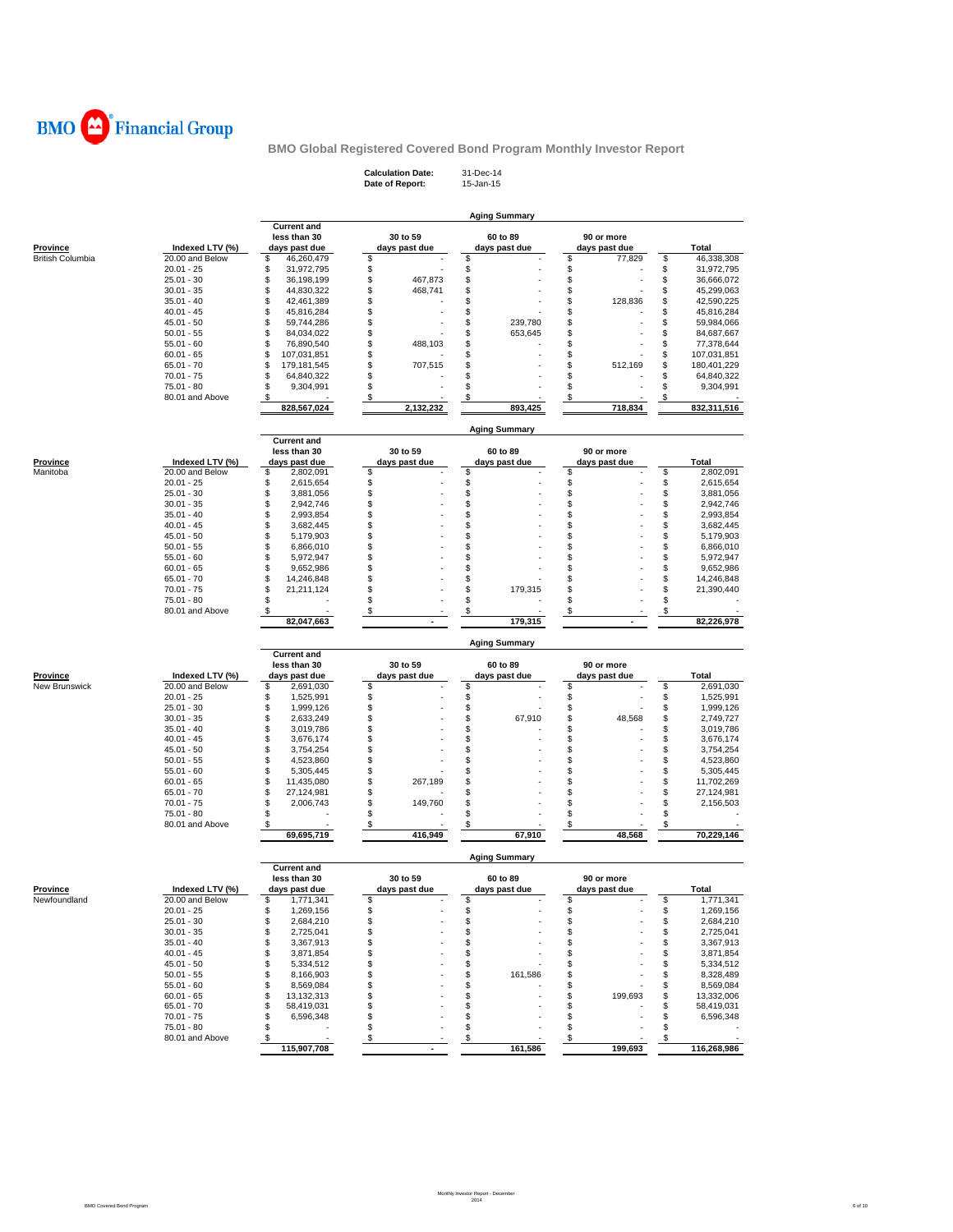

**Calculation Date:** 31-Dec-14 **Date of Report:** 15-Jan-15

|                                     |                                    |                                    |                           | <b>Aging Summary</b>      |                               |          |                        |
|-------------------------------------|------------------------------------|------------------------------------|---------------------------|---------------------------|-------------------------------|----------|------------------------|
|                                     |                                    | <b>Current and</b><br>less than 30 | 30 to 59                  | 60 to 89                  | 90 or more                    |          |                        |
| Province<br><b>British Columbia</b> | Indexed LTV (%)<br>20.00 and Below | days past due<br>\$<br>46,260,479  | days past due<br>\$       | days past due<br>\$       | days past due<br>\$<br>77,829 | \$       | Total<br>46,338,308    |
|                                     | $20.01 - 25$                       | \$<br>31,972,795                   | \$                        | \$                        | \$                            | \$       | 31,972,795             |
|                                     | $25.01 - 30$                       | \$<br>36,198,199                   | \$<br>467,873             | \$                        | \$                            | \$       | 36,666,072             |
|                                     | $30.01 - 35$                       | \$<br>44,830,322                   | \$<br>468,741             | \$                        | \$                            | \$       | 45,299,063             |
|                                     | $35.01 - 40$                       | \$<br>42,461,389                   | \$                        | \$                        | \$<br>128,836                 | \$       | 42,590,225             |
|                                     | $40.01 - 45$                       | \$<br>45,816,284                   | \$                        | \$                        | \$                            | \$       | 45,816,284             |
|                                     | $45.01 - 50$                       | \$<br>59,744,286                   | \$                        | \$<br>239,780             | \$                            | \$       | 59,984,066             |
|                                     | $50.01 - 55$                       | \$<br>84,034,022                   | \$                        | \$<br>653,645             | \$                            | \$       | 84,687,667             |
|                                     | $55.01 - 60$                       | \$<br>76,890,540                   | \$<br>488,103             | \$                        | \$                            | \$       | 77,378,644             |
|                                     | $60.01 - 65$                       | \$<br>107,031,851                  | \$                        | \$                        | \$                            | \$       | 107,031,851            |
|                                     | $65.01 - 70$                       | \$<br>179,181,545                  | \$<br>707,515             | \$                        | \$<br>512,169                 | \$       | 180,401,229            |
|                                     | $70.01 - 75$                       | \$<br>64,840,322                   | \$                        | \$                        | \$                            | \$       | 64,840,322             |
|                                     | $75.01 - 80$                       | \$<br>9,304,991                    | \$                        | \$                        | \$                            | \$       | 9,304,991              |
|                                     | 80.01 and Above                    | \$                                 | \$                        | \$                        | \$                            | \$       |                        |
|                                     |                                    | 828,567,024                        | 2,132,232                 | 893,425                   | 718,834                       |          | 832,311,516            |
|                                     |                                    | <b>Current and</b>                 |                           | <b>Aging Summary</b>      |                               |          |                        |
|                                     |                                    | less than 30                       | 30 to 59                  | 60 to 89                  | 90 or more                    |          |                        |
| <b>Province</b>                     | Indexed LTV (%)                    | days past due                      | days past due             | days past due             | days past due                 |          | Total                  |
| Manitoba                            | 20.00 and Below                    | \$<br>2,802,091                    | \$                        | \$                        | \$                            | \$       | 2,802,091              |
|                                     | $20.01 - 25$                       | \$<br>2,615,654                    | \$                        | \$                        | \$                            | \$       | 2,615,654              |
|                                     | $25.01 - 30$                       | \$<br>3,881,056                    | \$                        | \$                        | \$                            | \$       | 3,881,056              |
|                                     | $30.01 - 35$                       | \$<br>2,942,746                    | \$                        | \$                        | \$                            | \$       | 2,942,746              |
|                                     | $35.01 - 40$                       | \$<br>2,993,854                    | \$                        | \$                        | \$                            | \$       | 2,993,854              |
|                                     | $40.01 - 45$                       | \$<br>3,682,445                    | \$                        | \$                        | \$                            | \$       | 3,682,445              |
|                                     | $45.01 - 50$                       | \$<br>5,179,903                    | \$                        | \$                        | \$                            | \$       | 5,179,903              |
|                                     | $50.01 - 55$                       | \$<br>6,866,010                    | \$                        | \$                        | \$                            | \$       | 6,866,010              |
|                                     | $55.01 - 60$                       | \$<br>5,972,947                    | \$                        | \$                        | \$                            | \$       | 5,972,947              |
|                                     | $60.01 - 65$                       | \$<br>9,652,986                    | \$                        | \$                        | \$                            | \$       | 9,652,986              |
|                                     | $65.01 - 70$                       | \$<br>14,246,848                   | \$                        | \$                        | \$                            | \$       | 14,246,848             |
|                                     | $70.01 - 75$                       | \$<br>21,211,124                   | \$                        | \$<br>179,315             | \$                            | \$       | 21,390,440             |
|                                     | 75.01 - 80                         | \$                                 | \$                        | \$                        | \$                            | \$       |                        |
|                                     | 80.01 and Above                    | \$                                 | \$                        | \$                        | \$                            | \$       |                        |
|                                     |                                    | 82,047,663                         |                           | 179,315                   |                               |          | 82,226,978             |
|                                     |                                    |                                    |                           | <b>Aging Summary</b>      |                               |          |                        |
|                                     |                                    |                                    |                           |                           |                               |          |                        |
|                                     |                                    | <b>Current and</b><br>less than 30 | 30 to 59                  | 60 to 89                  | 90 or more                    |          |                        |
| Province                            | Indexed LTV (%)                    | days past due                      | days past due             | days past due             | days past due                 |          | Total                  |
| New Brunswick                       | 20.00 and Below                    | 2,691,030<br>\$                    | \$                        | \$                        | \$                            | \$       | 2,691,030              |
|                                     | $20.01 - 25$                       | \$<br>1,525,991                    | \$                        | \$                        | \$                            | \$       | 1,525,991              |
|                                     | $25.01 - 30$                       | \$<br>1,999,126                    | \$                        | $\ddot{\$}$               | \$                            | \$       | 1,999,126              |
|                                     | $30.01 - 35$                       | \$<br>2,633,249                    | \$                        | \$<br>67,910              | \$<br>48,568                  | \$       | 2,749,727              |
|                                     | $35.01 - 40$                       | \$<br>3,019,786                    | \$                        | \$                        | \$                            | \$       | 3,019,786              |
|                                     | $40.01 - 45$                       | \$<br>3,676,174                    | \$                        | \$                        | \$                            | \$       | 3,676,174              |
|                                     | $45.01 - 50$                       | \$<br>3,754,254                    | \$                        | \$                        | \$                            | \$       | 3,754,254              |
|                                     | $50.01 - 55$                       | \$<br>4,523,860                    | \$                        | \$                        | \$                            | \$       | 4,523,860              |
|                                     | $55.01 - 60$                       | \$<br>5,305,445                    | \$                        | \$                        | \$                            | \$       | 5,305,445              |
|                                     | $60.01 - 65$                       | \$<br>11,435,080                   | \$<br>267,189             | \$                        | \$                            | \$       | 11,702,269             |
|                                     | $65.01 - 70$                       | \$<br>27,124,981                   | \$                        | \$                        | \$                            | \$       | 27,124,981             |
|                                     | $70.01 - 75$                       | \$<br>2,006,743                    | \$<br>149,760             | \$                        | \$                            | \$       | 2,156,503              |
|                                     | 75.01 - 80                         | \$                                 | \$                        | \$                        | \$                            | \$       |                        |
|                                     | 80.01 and Above                    | \$<br>69,695,719                   | S<br>416,949              | \$<br>67,910              | \$<br>48,568                  | \$       | 70,229,146             |
|                                     |                                    |                                    |                           | <b>Aging Summary</b>      |                               |          |                        |
|                                     |                                    | <b>Current and</b>                 |                           |                           |                               |          |                        |
| <b>Province</b>                     |                                    | less than 30                       | 30 to 59<br>days past due | 60 to 89<br>days past due | 90 or more                    |          | Total                  |
| Newfoundland                        | Indexed LTV (%)<br>20.00 and Below | days past due<br>1,771,341<br>S    | \$                        | \$                        | days past due<br>\$           | \$       | 1,771,341              |
|                                     | $20.01 - 25$                       | \$                                 | \$                        | \$                        | \$                            |          |                        |
|                                     | $25.01 - 30$                       | 1,269,156<br>\$<br>2,684,210       | \$                        | \$                        | \$                            | \$<br>\$ | 1,269,156<br>2,684,210 |
|                                     | $30.01 - 35$                       | \$<br>2,725,041                    | \$                        | \$                        | \$                            | \$       | 2,725,041              |
|                                     | $35.01 - 40$                       | \$<br>3,367,913                    | \$                        | \$                        | \$                            | \$       | 3,367,913              |
|                                     | $40.01 - 45$                       | \$<br>3,871,854                    | \$                        | \$                        | \$                            | \$       | 3,871,854              |
|                                     | $45.01 - 50$                       | \$<br>5,334,512                    | \$                        | \$                        | \$                            | \$       | 5,334,512              |
|                                     | $50.01 - 55$                       | \$<br>8,166,903                    | \$                        | \$<br>161,586             | \$                            | \$       | 8,328,489              |
|                                     | $55.01 - 60$                       | \$<br>8,569,084                    | \$                        | \$                        | \$                            | \$       | 8,569,084              |
|                                     | $60.01 - 65$                       | \$<br>13,132,313                   | \$                        | \$                        | \$<br>199,693                 | \$       | 13,332,006             |
|                                     | 65.01 - 70                         | \$<br>58,419,031                   | \$                        | \$                        | \$                            | \$       | 58,419,031             |
|                                     | $70.01 - 75$                       | \$<br>6,596,348                    | \$                        | \$                        | \$                            | \$       | 6,596,348              |
|                                     | $75.01 - 80$                       | \$                                 | \$                        | \$                        | \$                            | \$       |                        |
|                                     | 80.01 and Above                    | \$<br>115,907,708                  | \$<br>ä,                  | \$<br>161,586             | $\frac{1}{2}$<br>199,693      | \$       | 116,268,986            |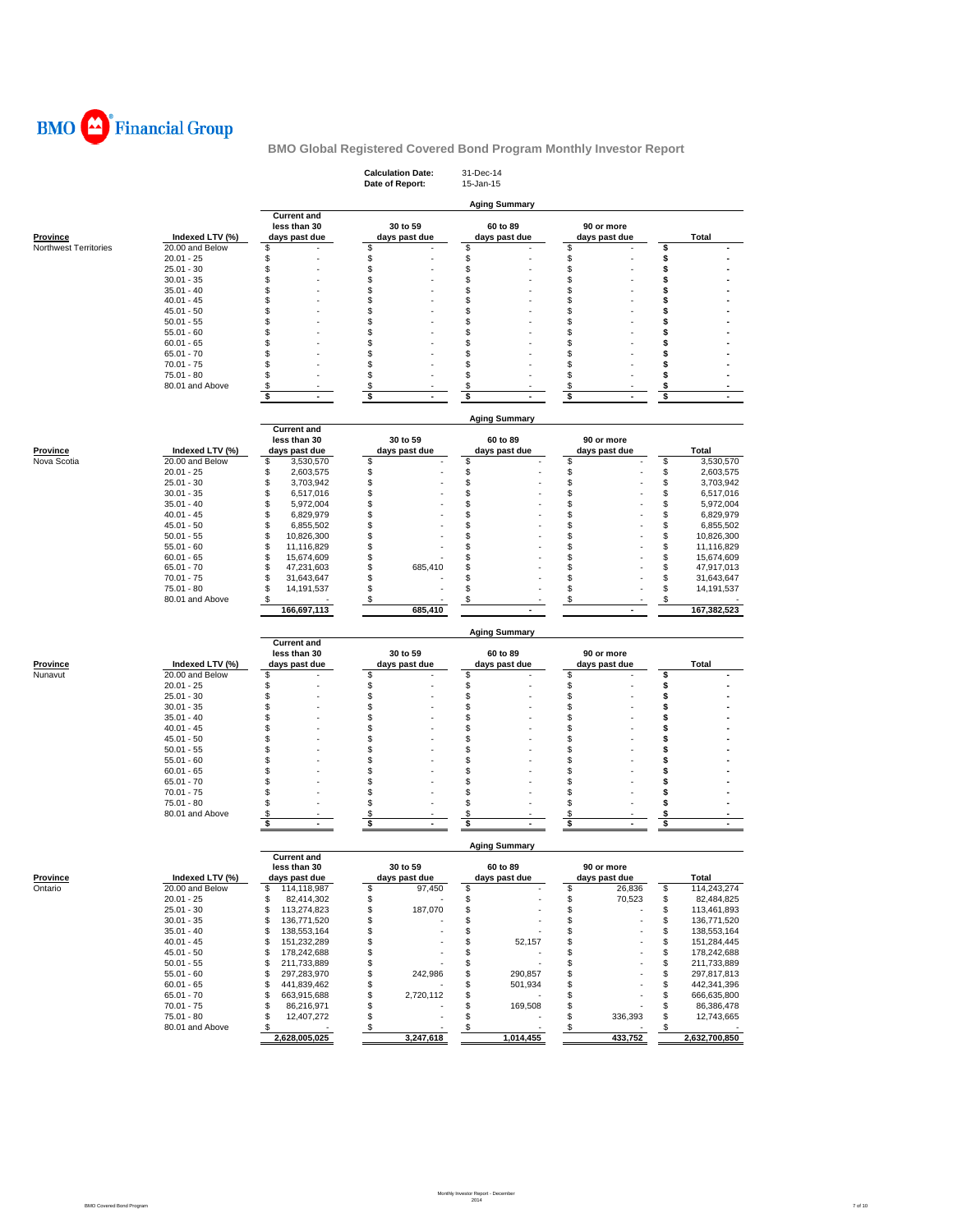

|                       |                 |                                                     | <b>Calculation Date:</b><br>Date of Report: | 31-Dec-14<br>15-Jan-15     |                             |                                  |
|-----------------------|-----------------|-----------------------------------------------------|---------------------------------------------|----------------------------|-----------------------------|----------------------------------|
|                       |                 |                                                     |                                             | <b>Aging Summary</b>       |                             |                                  |
| <b>Province</b>       | Indexed LTV (%) | <b>Current and</b><br>less than 30<br>days past due | 30 to 59<br>days past due                   | 60 to 89<br>days past due  | 90 or more<br>days past due | Total                            |
| Northwest Territories | 20.00 and Below | S                                                   | \$                                          | \$                         | \$                          | \$                               |
|                       | $20.01 - 25$    | S.                                                  | \$                                          | \$                         | \$                          | \$                               |
|                       | $25.01 - 30$    | S.                                                  | \$                                          | \$                         | \$                          | \$                               |
|                       | $30.01 - 35$    | \$                                                  | \$                                          | \$                         | \$                          | \$                               |
|                       | $35.01 - 40$    | \$                                                  | \$                                          | \$                         | \$                          | \$                               |
|                       | $40.01 - 45$    | \$                                                  | \$                                          | \$                         | \$                          | \$                               |
|                       | $45.01 - 50$    | \$                                                  | \$                                          | \$                         | \$                          | \$                               |
|                       | $50.01 - 55$    | \$                                                  | \$                                          | \$                         | \$                          | \$                               |
|                       | $55.01 - 60$    | \$                                                  | \$                                          | S                          | \$                          | \$                               |
|                       | $60.01 - 65$    | S.                                                  | \$                                          | S                          | \$                          | S                                |
|                       | $65.01 - 70$    | \$                                                  | \$                                          | S                          | \$                          | \$                               |
|                       | $70.01 - 75$    | \$                                                  | \$                                          | \$                         | \$                          | \$                               |
|                       | 75.01 - 80      | \$                                                  | \$                                          | \$                         | \$                          | \$                               |
|                       | 80.01 and Above | \$                                                  | $\boldsymbol{\mathsf{s}}$                   | \$                         | \$                          | \$                               |
|                       |                 | \$<br>$\blacksquare$                                | \$                                          | \$                         | \$                          | \$                               |
|                       |                 | <b>Current and</b>                                  |                                             | <b>Aging Summary</b>       |                             |                                  |
|                       |                 | less than 30                                        | 30 to 59                                    | 60 to 89                   | 90 or more                  |                                  |
| <b>Province</b>       | Indexed LTV (%) | days past due                                       | days past due                               | days past due              | days past due               | Total                            |
| Nova Scotia           | 20.00 and Below | \$<br>3,530,570                                     | \$                                          | \$                         | \$                          | \$<br>3,530,570                  |
|                       | $20.01 - 25$    | \$<br>2,603,575                                     | \$                                          | \$                         | \$                          | \$<br>2,603,575                  |
|                       | $25.01 - 30$    | \$<br>3,703,942                                     | \$                                          | \$                         | \$                          | \$<br>3,703,942                  |
|                       | $30.01 - 35$    | \$<br>6,517,016                                     | \$                                          | \$                         | \$                          | \$<br>6,517,016                  |
|                       | $35.01 - 40$    | \$<br>5,972,004                                     | \$                                          | \$                         | \$                          | \$<br>5,972,004                  |
|                       | $40.01 - 45$    | \$<br>6,829,979                                     | \$                                          | \$                         | \$                          | \$<br>6,829,979                  |
|                       | 45.01 - 50      | \$<br>6,855,502                                     | \$                                          | \$                         | \$                          | \$<br>6,855,502                  |
|                       | $50.01 - 55$    | \$<br>10,826,300                                    | \$                                          | \$                         | \$                          | \$<br>10,826,300                 |
|                       | $55.01 - 60$    | \$<br>11,116,829                                    | \$                                          | \$                         | \$                          | \$<br>11,116,829                 |
|                       | $60.01 - 65$    | \$<br>15,674,609                                    | \$                                          | \$                         | \$                          | \$<br>15,674,609                 |
|                       | $65.01 - 70$    | \$<br>47,231,603                                    | \$<br>685,410                               | \$                         | \$                          | \$<br>47,917,013                 |
|                       | $70.01 - 75$    | \$<br>31,643,647                                    | \$                                          | \$                         | \$                          | \$<br>31,643,647                 |
|                       | 75.01 - 80      | \$<br>14,191,537                                    | \$                                          | \$                         | \$                          | \$<br>14,191,537                 |
|                       | 80.01 and Above | \$                                                  | \$                                          | \$                         | \$                          | \$                               |
|                       |                 | 166,697,113                                         | 685.410                                     |                            |                             | 167,382,523                      |
|                       |                 |                                                     |                                             |                            |                             |                                  |
|                       |                 | <b>Current and</b>                                  |                                             | <b>Aging Summary</b>       |                             |                                  |
|                       |                 | less than 30                                        | 30 to 59                                    | 60 to 89                   | 90 or more                  |                                  |
| Province              | Indexed LTV (%) | days past due                                       | days past due                               | days past due              | days past due               | Total                            |
| Nunavut               | 20.00 and Below | \$                                                  | \$                                          | \$                         | \$                          | \$                               |
|                       | $20.01 - 25$    | S.                                                  | \$                                          | \$                         | \$                          | \$                               |
|                       | $25.01 - 30$    | S                                                   | \$                                          | \$                         | \$                          | \$                               |
|                       | $30.01 - 35$    | S                                                   | \$                                          | \$                         | \$                          | \$                               |
|                       | $35.01 - 40$    | \$                                                  | \$                                          | \$                         | \$                          | \$                               |
|                       | $40.01 - 45$    | \$                                                  | \$                                          | \$                         | \$                          | \$                               |
|                       | 45.01 - 50      | \$                                                  | \$                                          | \$                         | \$                          | \$                               |
|                       | $50.01 - 55$    | S                                                   | \$                                          | \$                         | \$                          | S                                |
|                       | $55.01 - 60$    | \$                                                  | \$                                          | \$                         | \$                          | \$                               |
|                       | $60.01 - 65$    | \$                                                  | \$                                          | \$                         | \$                          | \$                               |
|                       | $65.01 - 70$    | S.                                                  | \$                                          | \$                         | \$                          | \$                               |
|                       | $70.01 - 75$    | S.                                                  | \$                                          | \$                         | \$                          | \$                               |
|                       | 75.01 - 80      | \$.                                                 | \$                                          | \$                         | \$                          | \$                               |
|                       | 80.01 and Above | \$<br>\$<br>$\overline{a}$                          | \$<br>\$<br>$\ddot{\phantom{1}}$            | \$<br>\$<br>$\blacksquare$ | \$<br>\$<br>$\overline{a}$  | \$<br>\$<br>$\ddot{\phantom{1}}$ |
|                       |                 |                                                     |                                             |                            |                             |                                  |
|                       |                 | <b>Current and</b>                                  |                                             | <b>Aging Summary</b>       |                             |                                  |
|                       |                 | less than 30                                        | 30 to 59                                    | 60 to 89                   | 90 or more                  |                                  |
| <b>Province</b>       | Indexed LTV (%) | days past due                                       | days past due                               | days past due              | days past due               | Total                            |
| Ontario               | 20.00 and Below | \$<br>114,118,987                                   | \$<br>97,450                                | \$                         | \$<br>26,836                | \$<br>114,243,274                |
|                       | $20.01 - 25$    | \$<br>82,414,302                                    | \$                                          | \$                         | \$<br>70,523                | \$<br>82,484,825                 |
|                       | $25.01 - 30$    | \$<br>113,274,823                                   | \$<br>187,070                               | \$                         | \$                          | \$<br>113,461,893                |
|                       | $30.01 - 35$    | 136,771,520<br>\$                                   | \$                                          | \$                         | \$                          | \$<br>136,771,520                |
|                       | $35.01 - 40$    | 138,553,164<br>\$                                   | \$                                          | \$                         | \$                          | \$<br>138,553,164                |
|                       | $40.01 - 45$    | 151,232,289<br>\$                                   | \$                                          | \$<br>52,157               | \$                          | \$<br>151,284,445                |
|                       | $45.01 - 50$    | \$<br>178,242,688                                   | \$                                          | \$                         | \$                          | \$<br>178,242,688                |
|                       | $50.01 - 55$    | 211,733,889<br>\$                                   | \$                                          | \$                         | \$                          | \$<br>211,733,889                |
|                       |                 | 297,283,970<br>\$                                   | \$<br>242,986                               | \$<br>290,857              | \$                          | \$<br>297,817,813                |
|                       | $55.01 - 60$    |                                                     |                                             |                            |                             |                                  |
|                       | $60.01 - 65$    | 441,839,462<br>\$                                   | \$                                          | \$<br>501,934              | \$                          | \$<br>442,341,396                |
|                       | 65.01 - 70      | \$<br>663,915,688                                   | \$<br>2,720,112                             | \$                         | \$                          | \$<br>666,635,800                |
|                       | $70.01 - 75$    | \$<br>86,216,971                                    | \$                                          | \$<br>169,508              | \$                          | \$<br>86,386,478                 |
|                       | 75.01 - 80      | \$<br>12,407,272                                    | \$                                          | \$                         | \$<br>336,393               | \$<br>12,743,665                 |
|                       | 80.01 and Above | -\$<br>2,628,005,025                                | \$<br>3,247,618                             | \$<br>1,014,455            | <u>\$</u><br>433,752        | \$<br>2,632,700,850              |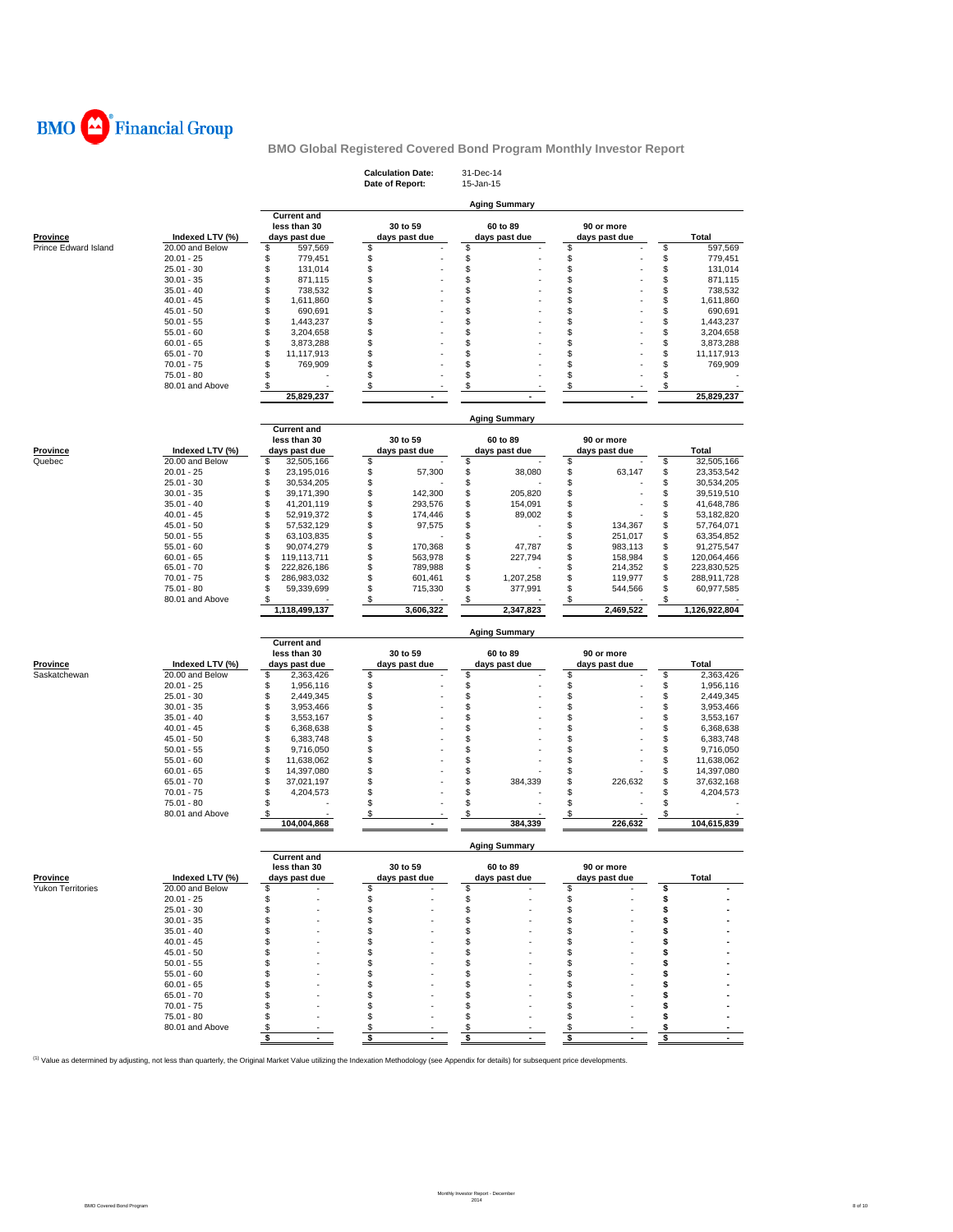

|                      |                                 |                                                     | <b>Calculation Date:</b><br>Date of Report: | 31-Dec-14<br>15-Jan-15    |                                |          |                           |
|----------------------|---------------------------------|-----------------------------------------------------|---------------------------------------------|---------------------------|--------------------------------|----------|---------------------------|
|                      |                                 |                                                     |                                             | <b>Aging Summary</b>      |                                |          |                           |
| <b>Province</b>      | Indexed LTV (%)                 | <b>Current and</b><br>less than 30<br>days past due | 30 to 59<br>days past due                   | 60 to 89<br>days past due | 90 or more                     |          | Total                     |
| Prince Edward Island | 20.00 and Below                 | 597,569<br>\$                                       | \$                                          | \$                        | days past due<br>\$            | \$       | 597,569                   |
|                      | $20.01 - 25$                    | \$<br>779,451                                       | \$                                          | \$                        | \$                             | \$       | 779,451                   |
|                      | $25.01 - 30$                    | \$<br>131,014                                       | \$                                          | \$                        | \$                             | \$       | 131,014                   |
|                      | $30.01 - 35$                    | \$<br>871,115                                       | \$                                          | \$                        | \$                             | \$       | 871,115                   |
|                      | $35.01 - 40$                    | \$<br>738,532                                       | \$                                          | \$                        | \$                             | \$       | 738,532                   |
|                      | $40.01 - 45$                    | \$<br>1,611,860                                     | \$                                          | \$                        | \$                             | \$       | 1,611,860                 |
|                      | $45.01 - 50$                    | \$<br>690,691                                       | \$                                          | \$                        | \$                             | \$       | 690,691                   |
|                      | $50.01 - 55$                    | \$<br>1,443,237                                     | \$                                          | \$                        | \$                             | \$       | 1,443,237                 |
|                      | $55.01 - 60$                    | \$<br>3,204,658                                     | \$                                          | \$                        | \$                             | \$       | 3,204,658                 |
|                      | $60.01 - 65$                    | \$<br>3,873,288                                     | \$                                          | \$                        | \$                             | \$       | 3,873,288                 |
|                      | $65.01 - 70$                    | \$<br>11,117,913                                    | \$                                          | \$                        | \$                             | \$       | 11,117,913                |
|                      | $70.01 - 75$                    | \$<br>769,909                                       | \$                                          | \$                        | \$                             | \$       | 769,909                   |
|                      | 75.01 - 80                      | \$                                                  | \$                                          | \$                        | \$                             | \$       |                           |
|                      | 80.01 and Above                 | \$<br>25,829,237                                    | \$                                          | \$                        | \$                             | \$       | 25,829,237                |
|                      |                                 |                                                     |                                             |                           |                                |          |                           |
|                      |                                 | <b>Current and</b>                                  |                                             | <b>Aging Summary</b>      |                                |          |                           |
|                      |                                 | less than 30                                        | 30 to 59                                    | 60 to 89                  | 90 or more                     |          |                           |
| <b>Province</b>      | Indexed LTV (%)                 | days past due                                       | days past due                               | days past due             | days past due                  |          | Total                     |
| Quebec               | 20.00 and Below                 | \$<br>32,505,166                                    | \$                                          | \$                        | \$                             | \$       | 32,505,166                |
|                      | $20.01 - 25$                    | \$<br>23,195,016                                    | \$<br>57,300                                | \$<br>38,080              | \$<br>63,147                   | \$       | 23,353,542                |
|                      | $25.01 - 30$                    | \$<br>30,534,205                                    | \$                                          | \$                        | \$                             | \$       | 30,534,205                |
|                      | $30.01 - 35$                    | \$<br>39,171,390                                    | \$<br>142,300                               | \$<br>205,820             | \$                             | \$       | 39,519,510                |
|                      | $35.01 - 40$                    | \$<br>41,201,119                                    | \$<br>293,576                               | \$<br>154.091             | \$                             | \$       | 41,648,786                |
|                      | $40.01 - 45$                    | \$<br>52,919,372                                    | \$<br>174,446                               | \$<br>89,002              | \$                             | \$       | 53,182,820                |
|                      | $45.01 - 50$                    | \$<br>57,532,129                                    | \$<br>97,575                                | \$                        | \$<br>134,367                  | \$       | 57,764,071                |
|                      | $50.01 - 55$<br>$55.01 - 60$    | \$<br>63,103,835                                    | \$                                          | \$<br>47,787              | \$<br>251,017                  | \$       | 63,354,852                |
|                      | $60.01 - 65$                    | \$<br>90,074,279<br>\$<br>119,113,711               | \$<br>170,368<br>\$<br>563,978              | \$<br>\$<br>227,794       | \$<br>983,113<br>\$<br>158,984 | \$<br>\$ | 91,275,547<br>120,064,466 |
|                      | $65.01 - 70$                    | \$<br>222,826,186                                   | \$<br>789,988                               | \$                        | \$<br>214,352                  | \$       | 223,830,525               |
|                      | $70.01 - 75$                    | \$<br>286,983,032                                   | \$<br>601,461                               | \$<br>1,207,258           | \$<br>119,977                  | \$       | 288,911,728               |
|                      | 75.01 - 80                      | \$<br>59,339,699                                    | \$<br>715,330                               | \$<br>377,991             | \$<br>544,566                  | \$       | 60,977,585                |
|                      | 80.01 and Above                 | \$                                                  | \$                                          | \$                        | \$                             | \$       |                           |
|                      |                                 | 1,118,499,137                                       | 3,606,322                                   | 2,347,823                 | 2,469,522                      |          | 1,126,922,804             |
|                      |                                 | <b>Current and</b>                                  |                                             | <b>Aging Summary</b>      |                                |          |                           |
|                      |                                 |                                                     |                                             |                           |                                |          |                           |
|                      |                                 |                                                     |                                             |                           |                                |          |                           |
|                      |                                 | less than 30                                        | 30 to 59                                    | 60 to 89                  | 90 or more                     |          |                           |
| Province             | Indexed LTV (%)                 | days past due                                       | days past due                               | days past due             | days past due                  |          | Total                     |
| Saskatchewan         | 20.00 and Below<br>$20.01 - 25$ | \$<br>2,363,426<br>\$<br>1,956,116                  | \$                                          | \$                        | \$                             | \$       | 2,363,426<br>1,956,116    |
|                      | $25.01 - 30$                    | \$<br>2,449,345                                     | \$<br>\$                                    | \$<br>\$                  | \$<br>\$                       | \$<br>\$ | 2,449,345                 |
|                      | $30.01 - 35$                    | \$<br>3,953,466                                     | \$                                          | \$                        | \$                             | \$       | 3,953,466                 |
|                      | $35.01 - 40$                    | \$<br>3,553,167                                     | \$                                          | \$                        | \$                             | \$       | 3,553,167                 |
|                      | $40.01 - 45$                    | \$<br>6,368,638                                     | \$                                          | \$                        | \$                             | \$       | 6,368,638                 |
|                      | $45.01 - 50$                    | \$<br>6,383,748                                     | \$                                          | \$                        | \$                             | \$       | 6,383,748                 |
|                      | $50.01 - 55$                    | \$<br>9,716,050                                     | \$                                          | \$                        | \$                             | \$       | 9,716,050                 |
|                      | $55.01 - 60$                    | \$<br>11,638,062                                    | \$                                          | \$                        | \$                             | \$       | 11,638,062                |
|                      | $60.01 - 65$                    | \$<br>14,397,080                                    | \$                                          | \$                        | \$                             | \$       | 14,397,080                |
|                      | $65.01 - 70$                    | \$<br>37,021,197                                    | \$                                          | \$<br>384,339             | \$<br>226.632                  | \$       | 37,632,168                |
|                      | $70.01 - 75$                    | \$<br>4,204,573                                     | \$                                          | \$                        | \$                             | \$       | 4,204,573                 |
|                      | 75.01 - 80<br>80.01 and Above   | \$<br>\$                                            | \$<br>\$                                    | \$<br>\$                  | \$<br>\$                       | \$<br>\$ |                           |
|                      |                                 | 104,004,868                                         |                                             | 384,339                   | 226,632                        |          | 104,615,839               |
|                      |                                 |                                                     |                                             | <b>Aging Summary</b>      |                                |          |                           |
|                      |                                 | <b>Current and</b><br>less than 30                  | 30 to 59                                    | 60 to 89                  | 90 or more                     |          |                           |
| <b>Province</b>      | Indexed LTV (%)                 | days past due                                       | days past due                               | days past due             | days past due                  |          | <b>Total</b>              |
| Yukon Territories    | 20.00 and Below                 | \$                                                  | \$                                          | \$                        | \$                             | \$       |                           |
|                      | $20.01 - 25$                    | \$                                                  | \$                                          | \$                        | \$                             | \$       |                           |
|                      | $25.01 - 30$                    | \$                                                  | \$                                          | \$                        | \$                             | \$       |                           |
|                      | $30.01 - 35$                    | S                                                   | \$                                          | \$                        | \$                             | \$       |                           |
|                      | $35.01 - 40$                    | S.                                                  | \$                                          | S                         | \$                             | \$       |                           |
|                      | $40.01 - 45$                    | S                                                   | \$                                          | S                         | \$                             | s        |                           |
|                      | $45.01 - 50$                    | S                                                   | \$                                          | \$                        | \$                             | s        |                           |
|                      | $50.01 - 55$                    | S                                                   | \$                                          | S                         | \$                             | s        |                           |
|                      | $55.01 - 60$                    | S                                                   | \$                                          | \$                        | \$                             | s        |                           |
|                      | $60.01 - 65$                    | S                                                   | \$                                          | S                         | \$                             | s        |                           |
|                      | $65.01 - 70$                    | S                                                   | \$                                          | \$                        | \$                             | s        |                           |
|                      | $70.01 - 75$                    | S.                                                  | \$                                          | \$                        | \$                             | \$       |                           |
|                      | 75.01 - 80<br>80.01 and Above   | \$<br>\$                                            | \$<br>\$                                    | \$<br>\$                  | \$<br>\$                       | \$<br>\$ |                           |
|                      |                                 | $\frac{1}{2}$<br>$\sim$                             | \$                                          | \$                        | \$                             | \$       |                           |

<sup>(1)</sup> Value as determined by adjusting, not less than quarterly, the Original Market Value utilizing the Indexation Methodology (see Appendix for details) for subsequent price developments.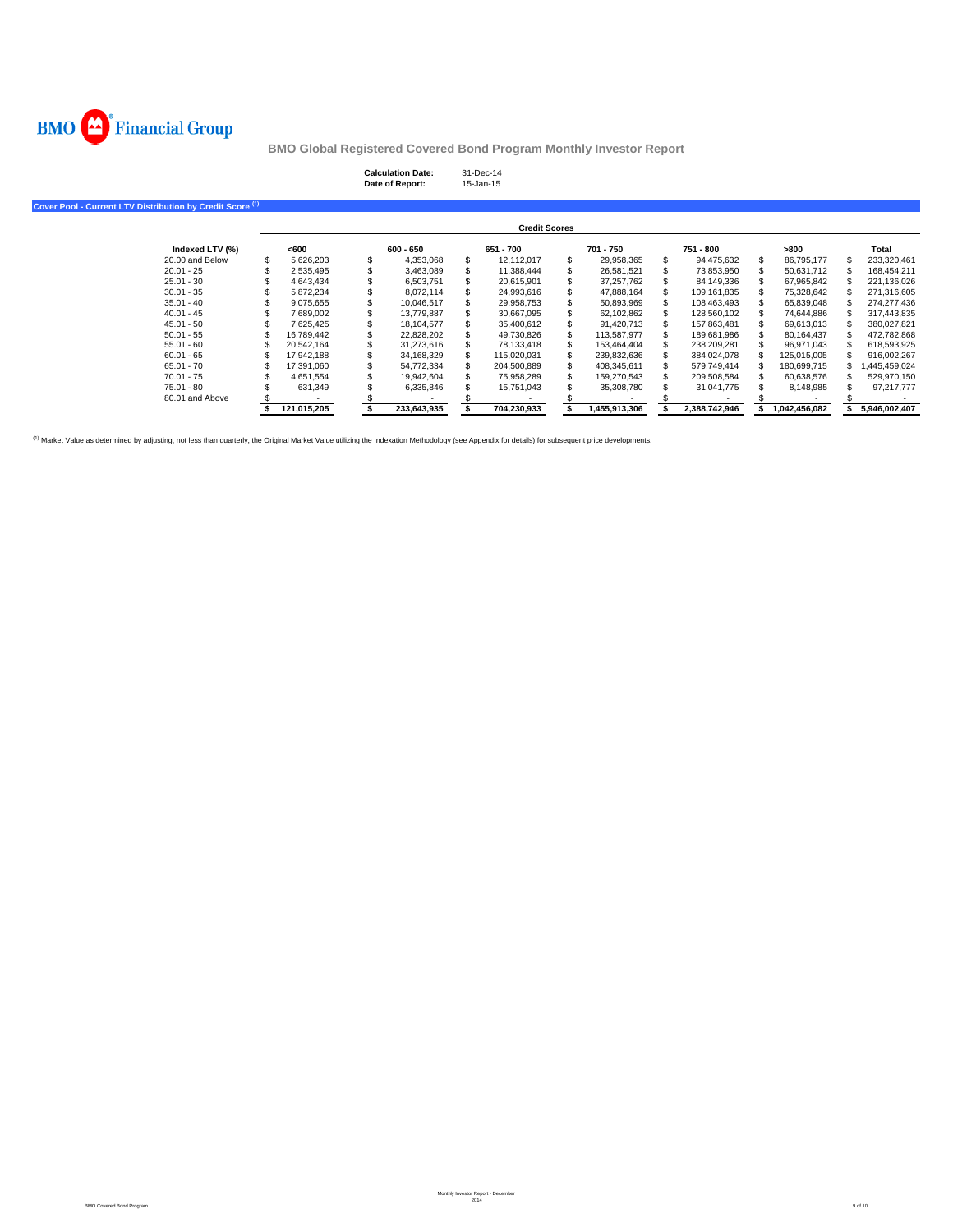

| <b>Calculation Date:</b> | 31-Dec-14 |
|--------------------------|-----------|
| Date of Report:          | 15-Jan-15 |

**Cover Pool - Current LTV Distribution by Credit Score (1)**

|                 |             |     |             | <b>Credit Scores</b> |              |               |               |               |
|-----------------|-------------|-----|-------------|----------------------|--------------|---------------|---------------|---------------|
| Indexed LTV (%) | <600        |     | $600 - 650$ | 651 - 700            | 701 - 750    | 751 - 800     | >800          | Total         |
| 20.00 and Below | 5.626.203   |     | 4.353.068   | 12.112.017           | 29.958.365   | 94.475.632    | 86.795.177    | 233.320.461   |
| $20.01 - 25$    | 2.535.495   |     | 3.463.089   | 11,388,444           | 26,581,521   | 73.853.950    | 50.631.712    | 168.454.211   |
| $25.01 - 30$    | 4.643.434   |     | 6.503.751   | 20.615.901           | 37.257.762   | 84.149.336    | 67.965.842    | 221.136.026   |
| $30.01 - 35$    | 5.872.234   |     | 8.072.114   | 24.993.616           | 47.888.164   | 109.161.835   | 75.328.642    | 271.316.605   |
| $35.01 - 40$    | 9.075.655   |     | 10.046.517  | 29.958.753           | 50.893.969   | 108.463.493   | 65.839.048    | 274.277.436   |
| $40.01 - 45$    | 7.689.002   | эħ. | 13,779,887  | 30.667.095           | 62.102.862   | 128.560.102   | 74.644.886    | 317.443.835   |
| $45.01 - 50$    | 7.625.425   | æ.  | 18.104.577  | 35.400.612           | 91.420.713   | 157.863.481   | 69.613.013    | 380.027.821   |
| $50.01 - 55$    | 16.789.442  |     | 22.828.202  | 49.730.826           | 113.587.977  | 189.681.986   | 80.164.437    | 472.782.868   |
| $55.01 - 60$    | 20.542.164  |     | 31.273.616  | 78.133.418           | 153.464.404  | 238.209.281   | 96.971.043    | 618.593.925   |
| $60.01 - 65$    | 17.942.188  |     | 34.168.329  | 115.020.031          | 239.832.636  | 384.024.078   | 125.015.005   | 916.002.267   |
| $65.01 - 70$    | 17.391.060  |     | 54.772.334  | 204.500.889          | 408.345.611  | 579.749.414   | 180.699.715   | ,445,459,024  |
| $70.01 - 75$    | 4.651.554   |     | 19.942.604  | 75.958.289           | 159.270.543  | 209.508.584   | 60.638.576    | 529.970.150   |
| $75.01 - 80$    | 631.349     |     | 6.335.846   | 15.751.043           | 35,308,780   | 31.041.775    | 8.148.985     | 97.217.777    |
| 80.01 and Above |             |     |             |                      |              |               |               |               |
|                 | 121.015.205 |     | 233.643.935 | 704.230.933          | ,455,913,306 | 2.388.742.946 | 1.042.456.082 | 5.946.002.407 |

<sup>(1)</sup> Market Value as determined by adjusting, not less than quarterly, the Original Market Value utilizing the Indexation Methodology (see Appendix for details) for subsequent price developments.